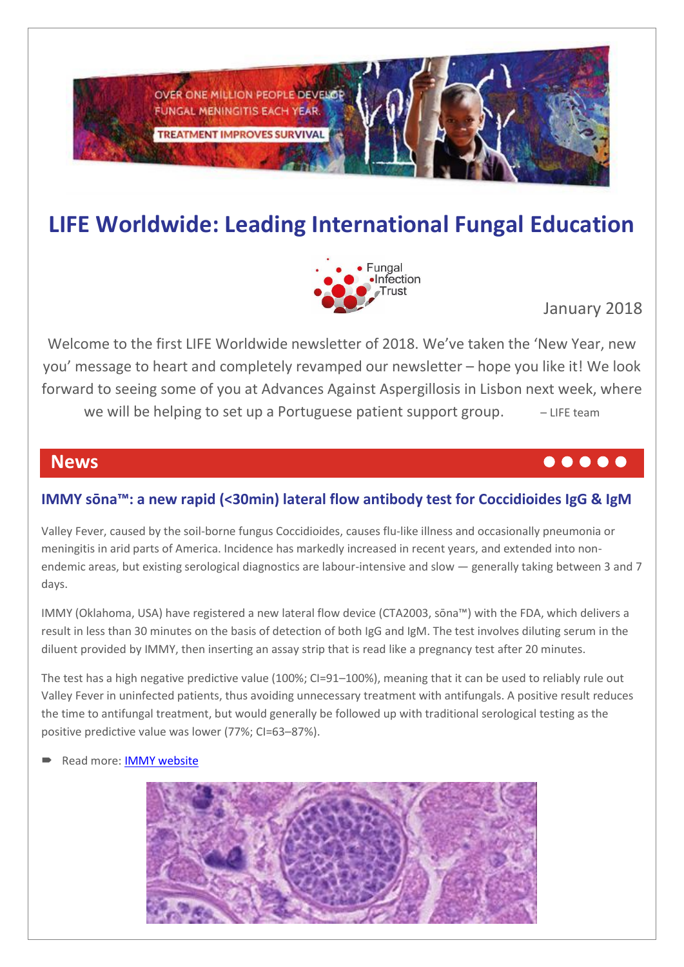**OVER ONE MILLION PEOPLE DEVELOP FUNGAL MENINGITIS EACH YEAR** 

**TREATMENT IMPROVES SURVIVAL** 

# **LIFE Worldwide: Leading International Fungal Education**



January 2018

Welcome to the first LIFE Worldwide newsletter of 2018. We've taken the 'New Year, new you' message to heart and completely revamped our newsletter – hope you like it! We look forward to seeing some of you at Advances Against Aspergillosis in Lisbon next week, where we will be helping to set up a Portuguese patient support group.  $-$  LIFE team

# **News News**  *News News* **<b>** *News News News News News News News News News News News News News News News News News News News*

### **IMMY sōna™: a new rapid (<30min) lateral flow antibody test for Coccidioides IgG & IgM**

Valley Fever, caused by the soil-borne fungus Coccidioides, causes flu-like illness and occasionally pneumonia or meningitis in arid parts of America. Incidence has markedly increased in recent years, and extended into nonendemic areas, but existing serological diagnostics are labour-intensive and slow — generally taking between 3 and 7 days.

IMMY (Oklahoma, USA) have registered a new lateral flow device (CTA2003, sōna™) with the FDA, which delivers a result in less than 30 minutes on the basis of detection of both IgG and IgM. The test involves diluting serum in the diluent provided by IMMY, then inserting an assay strip that is read like a pregnancy test after 20 minutes.

The test has a high negative predictive value (100%; CI=91–100%), meaning that it can be used to reliably rule out Valley Fever in uninfected patients, thus avoiding unnecessary treatment with antifungals. A positive result reduces the time to antifungal treatment, but would generally be followed up with traditional serological testing as the positive predictive value was lower (77%; CI=63–87%).

Read more: [IMMY website](http://www.immy.com/sona-cocci-ab-lfa/)

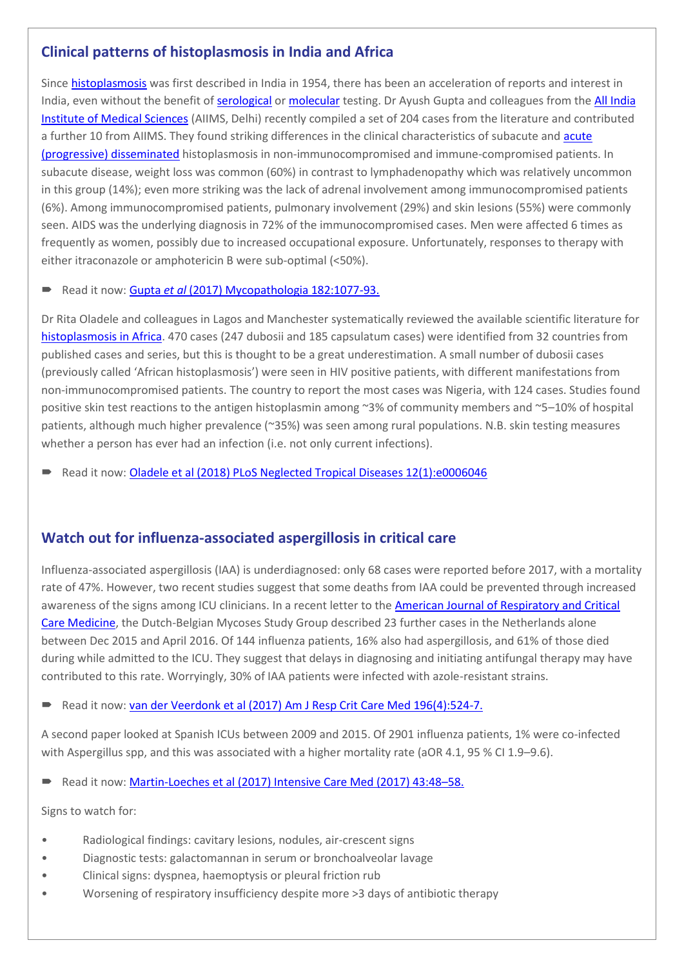### **Clinical patterns of histoplasmosis in India and Africa**

Since [histoplasmosis](http://www.life-worldwide.org/fungal-diseases/histoplasma-capsulatum) was first described in India in 1954, there has been an acceleration of reports and interest in India, even without the benefit of [serological](http://www.life-worldwide.org/fungal-diseases/antigen-testing) or [molecular](http://www.life-worldwide.org/fungal-diseases/molecular-mycology) testing. Dr Ayush Gupta and colleagues from the [All India](https://www.aiims.edu/en.html)  [Institute of Medical Sciences](https://www.aiims.edu/en.html) (AIIMS, Delhi) recently compiled a set of 204 cases from the literature and contributed a further 10 from AIIMS. They found striking differences in the clinical characteristics of subacute an[d acute](http://www.life-worldwide.org/fungal-diseases/histoplasmosis)  [\(progressive\) disseminated](http://www.life-worldwide.org/fungal-diseases/histoplasmosis) histoplasmosis in non-immunocompromised and immune-compromised patients. In subacute disease, weight loss was common (60%) in contrast to lymphadenopathy which was relatively uncommon in this group (14%); even more striking was the lack of adrenal involvement among immunocompromised patients (6%). Among immunocompromised patients, pulmonary involvement (29%) and skin lesions (55%) were commonly seen. AIDS was the underlying diagnosis in 72% of the immunocompromised cases. Men were affected 6 times as frequently as women, possibly due to increased occupational exposure. Unfortunately, responses to therapy with either itraconazole or amphotericin B were sub-optimal (<50%).

### Read it now: Gupta *et al* [\(2017\) Mycopathologia 182:1077-93.](http://www.life-worldwide.org/assets/uploads/files/Gupta%20Histoplasmosis%20in%20India%20Mycopatholgia%202017.pdf)

Dr Rita Oladele and colleagues in Lagos and Manchester systematically reviewed the available scientific literature for [histoplasmosis in Africa.](http://www.life-worldwide.org/media-centre/article/histoplasmosis-in-africa-is-under-recognized-and-under-reported) 470 cases (247 dubosii and 185 capsulatum cases) were identified from 32 countries from published cases and series, but this is thought to be a great underestimation. A small number of dubosii cases (previously called 'African histoplasmosis') were seen in HIV positive patients, with different manifestations from non-immunocompromised patients. The country to report the most cases was Nigeria, with 124 cases. Studies found positive skin test reactions to the antigen histoplasmin among ~3% of community members and ~5–10% of hospital patients, although much higher prevalence (~35%) was seen among rural populations. N.B. skin testing measures whether a person has ever had an infection (i.e. not only current infections).

Read it now[: Oladele et al \(2018\) PLoS Neglected Tropical Diseases 12\(1\):e0006046](http://journals.plos.org/plosntds/article/file?id=10.1371/journal.pntd.0006046&type=printable)

### **Watch out for influenza-associated aspergillosis in critical care**

Influenza-associated aspergillosis (IAA) is underdiagnosed: only 68 cases were reported before 2017, with a mortality rate of 47%. However, two recent studies suggest that some deaths from IAA could be prevented through increased awareness of the signs among ICU clinicians. In a recent letter to th[e American Journal of Respiratory and Critical](http://www.atsjournals.org/journal/ajrccm)  [Care Medicine,](http://www.atsjournals.org/journal/ajrccm) the Dutch-Belgian Mycoses Study Group described 23 further cases in the Netherlands alone between Dec 2015 and April 2016. Of 144 influenza patients, 16% also had aspergillosis, and 61% of those died during while admitted to the ICU. They suggest that delays in diagnosing and initiating antifungal therapy may have contributed to this rate. Worryingly, 30% of IAA patients were infected with azole-resistant strains.

Read it now: van der Veerdonk et al (2017) [Am J Resp Crit Care Med 196\(4\):524-7.](http://life-worldwide.org/assets/uploads/files/28387526IAA.pdf)

A second paper looked at Spanish ICUs between 2009 and 2015. Of 2901 influenza patients, 1% were co-infected with Aspergillus spp, and this was associated with a higher mortality rate (aOR 4.1, 95 % CI 1.9–9.6).

Read it now[: Martin-Loeches et al \(2017\) Intensive](http://life-worldwide.org/assets/uploads/files/27709265IAA.pdf) Care Med (2017) 43:48–58.

Signs to watch for:

- Radiological findings: cavitary lesions, nodules, air-crescent signs
- Diagnostic tests: galactomannan in serum or bronchoalveolar lavage
- Clinical signs: dyspnea, haemoptysis or pleural friction rub
- Worsening of respiratory insufficiency despite more >3 days of antibiotic therapy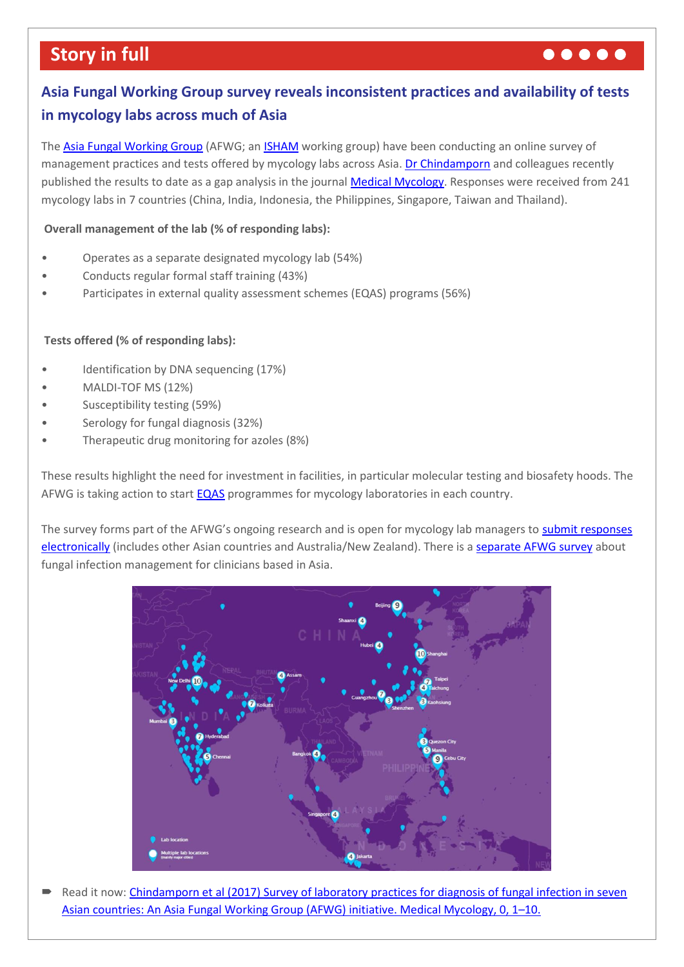# **Story in full and the contract of the contract of the contract of the contract of the contract of the contract of the contract of the contract of the contract of the contract of the contract of the contract of the contrac**

### **Asia Fungal Working Group survey reveals inconsistent practices and availability of tests in mycology labs across much of Asia**

The [Asia Fungal Working Group](https://www.afwgonline.com/) (AFWG; an **ISHAM** working group) have been conducting an online survey of management practices and tests offered by mycology labs across Asia[. Dr Chindamporn](https://www.afwgonline.com/board-members/dr-ariya-chindamporn/) and colleagues recently published the results to date as a gap analysis in the journal [Medical Mycology.](https://academic.oup.com/mmy) Responses were received from 241 mycology labs in 7 countries (China, India, Indonesia, the Philippines, Singapore, Taiwan and Thailand).

### **Overall management of the lab (% of responding labs):**

- Operates as a separate designated mycology lab (54%)
- Conducts regular formal staff training (43%)
- Participates in external quality assessment schemes (EQAS) programs (56%)

### **Tests offered (% of responding labs):**

- Identification by DNA sequencing (17%)
- MALDI-TOF MS (12%)
- Susceptibility testing (59%)
- Serology for fungal diagnosis (32%)
- Therapeutic drug monitoring for azoles (8%)

These results highlight the need for investment in facilities, in particular molecular testing and biosafety hoods. The AFWG is taking action to start **EQAS** programmes for mycology laboratories in each country.

The survey forms part of the AFWG's ongoing research and is open for mycology lab managers to [submit responses](https://www.afwgonline.com/ongoing-research/mycology-lab-services-in-asia/)  [electronically](https://www.afwgonline.com/ongoing-research/mycology-lab-services-in-asia/) (includes other Asian countries and Australia/New Zealand). There is [a separate AFWG survey](https://www.afwgonline.com/ongoing-research/managing-invasive-fungal-infections-in-asia/) about fungal infection management for clinicians based in Asia.



Read it now: Chindamporn et al (2017) Survey of laboratory practices for diagnosis of fungal infection in seven [Asian countries: An Asia Fungal Working Group \(AFWG\) initiative. Medical Mycology, 0, 1](http://www.life-worldwide.org/assets/uploads/files/Chindamporn2017AFWGsurveylabs.pdf)–10.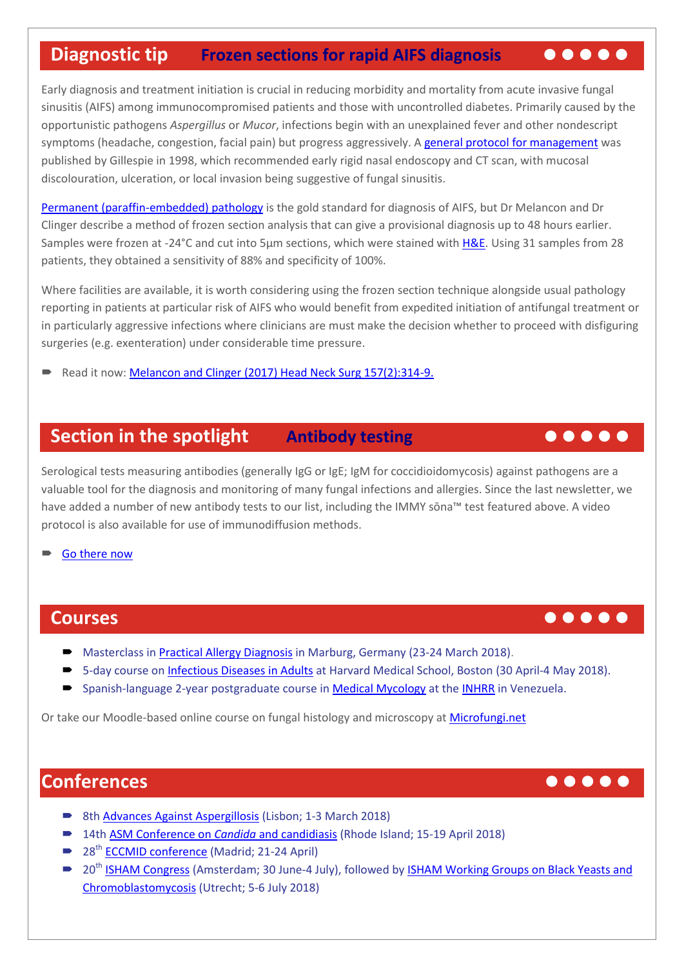# **Diagnostic tip Frozen sections for rapid AIFS diagnosis**  $\bullet \bullet \bullet \bullet \bullet$

Early diagnosis and treatment initiation is crucial in reducing morbidity and mortality from acute invasive fungal sinusitis (AIFS) among immunocompromised patients and those with uncontrolled diabetes. Primarily caused by the opportunistic pathogens *Aspergillus* or *Mucor*, infections begin with an unexplained fever and other nondescript symptoms (headache, congestion, facial pain) but progress aggressively. [A general protocol for management](https://jamanetwork.com/journals/jamaotolaryngology/fullarticle/219661) was published by Gillespie in 1998, which recommended early rigid nasal endoscopy and CT scan, with mucosal discolouration, ulceration, or local invasion being suggestive of fungal sinusitis.

[Permanent \(paraffin-embedded\) pathology](https://www.cancer.gov/about-cancer/diagnosis-staging/diagnosis/pathology-reports-fact-sheet) is the gold standard for diagnosis of AIFS, but Dr Melancon and Dr Clinger describe a method of frozen section analysis that can give a provisional diagnosis up to 48 hours earlier. Samples were frozen at -24°C and cut into 5μm sections, which were stained with [H&E.](http://histology.leeds.ac.uk/what-is-histology/H_and_E.php) Using 31 samples from 28 patients, they obtained a sensitivity of 88% and specificity of 100%.

Where facilities are available, it is worth considering using the frozen section technique alongside usual pathology reporting in patients at particular risk of AIFS who would benefit from expedited initiation of antifungal treatment or in particularly aggressive infections where clinicians are must make the decision whether to proceed with disfiguring surgeries (e.g. exenteration) under considerable time pressure.

Read it now[: Melancon and Clinger \(2017\) Head Neck Surg 157\(2\):314-9.](http://journals.sagepub.com/doi/pdf/10.1177/0194599817697279)

# **Section in the spotlight Antibody testing** *Antibody testing*

Serological tests measuring antibodies (generally IgG or IgE; IgM for coccidioidomycosis) against pathogens are a valuable tool for the diagnosis and monitoring of many fungal infections and allergies. Since the last newsletter, we have added a number of new antibody tests to our list, including the IMMY sōna™ test featured above. A video protocol is also available for use of immunodiffusion methods.

[Go there](http://www.life-worldwide.org/fungal-diseases/antibody-testing) now

## **Courses and the courses of the course of the course of the course of the course of the course of the course of the course of the course of the course of the course of the course of the course of the course of the course**

- **Masterclass i[n Practical Allergy Diagnosis](http://www.eaaci.org/eaaci-meetings/master-classes/upcoming-master-classes/4194-master-class-on-practical-allergy-diagnosis.html) in Marburg, Germany (23-24 March 2018).**
- 5-day course on [Infectious Diseases in Adults](https://id.hmscme.com/) at Harvard Medical School, Boston (30 April-4 May 2018).
- Spanish-language 2-year postgraduate course in [Medical Mycology](https://www.google.co.uk/url?sa=t&rct=j&q=&esrc=s&source=web&cd=2&cad=rja&uact=8&ved=0ahUKEwii6MPun_HYAhUBIcAKHXE7AqgQFggsMAE&url=http%3A%2F%2Fwww.life-worldwide.org%2Fassets%2Fuploads%2Ffiles%2FVenezuelan%2520Medical%2520Mycology%2520postgraduate%2520course%25255b1%25255d.doc&usg=AOvVaw0OvJQWHisWHy7zDxydrtTc) at the [INHRR](http://www.inhrr.gob.ve/) in Venezuela.

Or take our Moodle-based online course on fungal histology and microscopy at [Microfungi.net](http://www.microfungi.net/)

# **Conferences**

- 8t[h Advances Against Aspergillosis](https://outlook.manchester.ac.uk/owa/redir.aspx?C=4Xy9B-AS3fT86YJpHo6gZkI7ZbRAqYgFgv0P3UGJ47sHR0AAJIDUCA..&URL=http%3A%2F%2Ft.ymlp26.com%2Fujmbsafaebusuagabbadabujj%2Fclick.php) (Lisbon; 1-3 March 2018)
- 14th [ASM Conference on](https://www.asm.org/index.php/upcoming-conferences/14th-asm-conference-on-candida-and-candidiasis) *Candida* and candidiasis (Rhode Island; 15-19 April 2018)
- 28<sup>th</sup> [ECCMID conference](http://www.eccmid.org/) (Madrid; 21-24 April)
- 20<sup>th</sup> [ISHAM Congress](http://www.isham2018.org/en/Home_10_6_12.html) (Amsterdam; 30 June-4 July), followed by ISHAM Working Groups on Black Yeasts and [Chromoblastomycosis](http://www.blackyeast.org/) (Utrecht; 5-6 July 2018)